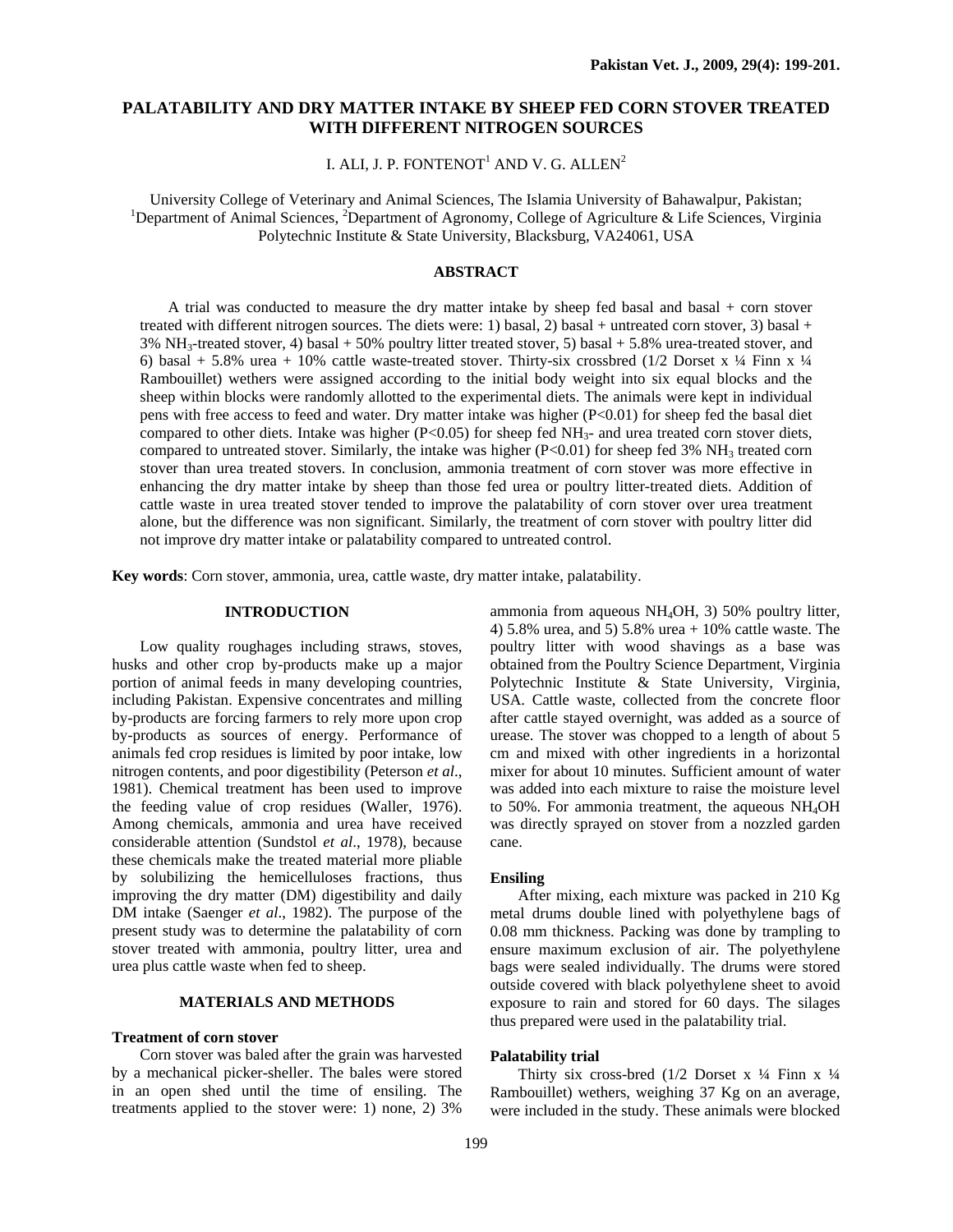# **PALATABILITY AND DRY MATTER INTAKE BY SHEEP FED CORN STOVER TREATED WITH DIFFERENT NITROGEN SOURCES**

I. ALI, J. P. FONTENOT $^{\rm l}$  AND V. G. ALLEN $^{\rm 2}$ 

University College of Veterinary and Animal Sciences, The Islamia University of Bahawalpur, Pakistan; 1 Department of Animal Sciences, <sup>2</sup>Department of Agronomy, College of Agriculture & Life Sciences, Virginia Polytechnic Institute & State University, Blacksburg, VA24061, USA

## **ABSTRACT**

A trial was conducted to measure the dry matter intake by sheep fed basal and basal + corn stover treated with different nitrogen sources. The diets were: 1) basal, 2) basal + untreated corn stover, 3) basal + 3% NH3-treated stover, 4) basal + 50% poultry litter treated stover, 5) basal + 5.8% urea-treated stover, and 6) basal + 5.8% urea + 10% cattle waste-treated stover. Thirty-six crossbred (1/2 Dorset x  $\frac{1}{4}$  Finn x  $\frac{1}{4}$ Rambouillet) wethers were assigned according to the initial body weight into six equal blocks and the sheep within blocks were randomly allotted to the experimental diets. The animals were kept in individual pens with free access to feed and water. Dry matter intake was higher (P<0.01) for sheep fed the basal diet compared to other diets. Intake was higher (P<0.05) for sheep fed  $NH<sub>3</sub>$ - and urea treated corn stover diets, compared to untreated stover. Similarly, the intake was higher  $(P<0.01)$  for sheep fed 3% NH<sub>3</sub> treated corn stover than urea treated stovers. In conclusion, ammonia treatment of corn stover was more effective in enhancing the dry matter intake by sheep than those fed urea or poultry litter-treated diets. Addition of cattle waste in urea treated stover tended to improve the palatability of corn stover over urea treatment alone, but the difference was non significant. Similarly, the treatment of corn stover with poultry litter did not improve dry matter intake or palatability compared to untreated control.

**Key words**: Corn stover, ammonia, urea, cattle waste, dry matter intake, palatability.

### **INTRODUCTION**

Low quality roughages including straws, stoves, husks and other crop by-products make up a major portion of animal feeds in many developing countries, including Pakistan. Expensive concentrates and milling by-products are forcing farmers to rely more upon crop by-products as sources of energy. Performance of animals fed crop residues is limited by poor intake, low nitrogen contents, and poor digestibility (Peterson *et al*., 1981). Chemical treatment has been used to improve the feeding value of crop residues (Waller, 1976). Among chemicals, ammonia and urea have received considerable attention (Sundstol *et al*., 1978), because these chemicals make the treated material more pliable by solubilizing the hemicelluloses fractions, thus improving the dry matter (DM) digestibility and daily DM intake (Saenger *et al*., 1982). The purpose of the present study was to determine the palatability of corn stover treated with ammonia, poultry litter, urea and urea plus cattle waste when fed to sheep.

# **MATERIALS AND METHODS**

#### **Treatment of corn stover**

 Corn stover was baled after the grain was harvested by a mechanical picker-sheller. The bales were stored in an open shed until the time of ensiling. The treatments applied to the stover were: 1) none, 2) 3%

ammonia from aqueous NH4OH, 3) 50% poultry litter, 4) 5.8% urea, and 5) 5.8% urea + 10% cattle waste. The poultry litter with wood shavings as a base was obtained from the Poultry Science Department, Virginia Polytechnic Institute & State University, Virginia, USA. Cattle waste, collected from the concrete floor after cattle stayed overnight, was added as a source of urease. The stover was chopped to a length of about 5 cm and mixed with other ingredients in a horizontal mixer for about 10 minutes. Sufficient amount of water was added into each mixture to raise the moisture level to 50%. For ammonia treatment, the aqueous NH4OH was directly sprayed on stover from a nozzled garden cane.

#### **Ensiling**

After mixing, each mixture was packed in 210 Kg metal drums double lined with polyethylene bags of 0.08 mm thickness. Packing was done by trampling to ensure maximum exclusion of air. The polyethylene bags were sealed individually. The drums were stored outside covered with black polyethylene sheet to avoid exposure to rain and stored for 60 days. The silages thus prepared were used in the palatability trial.

### **Palatability trial**

Thirty six cross-bred  $(1/2)$  Dorset x  $\frac{1}{4}$  Finn x  $\frac{1}{4}$ Rambouillet) wethers, weighing 37 Kg on an average, were included in the study. These animals were blocked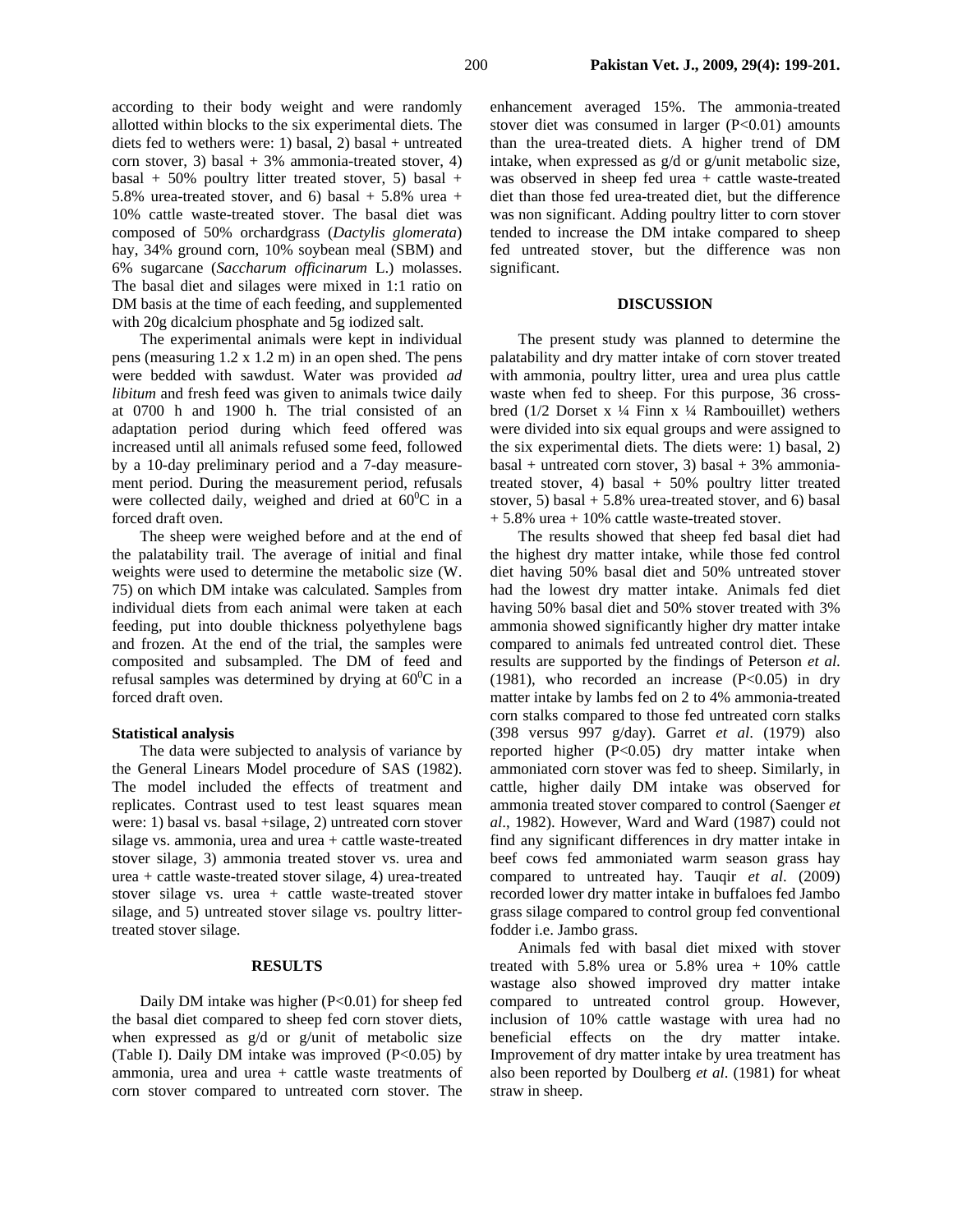diets fed to wethers were: 1) basal, 2) basal + untreated corn stover, 3) basal  $+3\%$  ammonia-treated stover, 4) basal + 50% poultry litter treated stover, 5) basal + 5.8% urea-treated stover, and 6) basal  $+$  5.8% urea  $+$ 10% cattle waste-treated stover. The basal diet was composed of 50% orchardgrass (*Dactylis glomerata*) hay, 34% ground corn, 10% soybean meal (SBM) and 6% sugarcane (*Saccharum officinarum* L.) molasses. The basal diet and silages were mixed in 1:1 ratio on DM basis at the time of each feeding, and supplemented with 20g dicalcium phosphate and 5g iodized salt.

The experimental animals were kept in individual pens (measuring 1.2 x 1.2 m) in an open shed. The pens were bedded with sawdust. Water was provided *ad libitum* and fresh feed was given to animals twice daily at 0700 h and 1900 h. The trial consisted of an adaptation period during which feed offered was increased until all animals refused some feed, followed by a 10-day preliminary period and a 7-day measurement period. During the measurement period, refusals were collected daily, weighed and dried at  $60^{\circ}$ C in a forced draft oven.

The sheep were weighed before and at the end of the palatability trail. The average of initial and final weights were used to determine the metabolic size (W. 75) on which DM intake was calculated. Samples from individual diets from each animal were taken at each feeding, put into double thickness polyethylene bags and frozen. At the end of the trial, the samples were composited and subsampled. The DM of feed and refusal samples was determined by drying at  $60^{\circ}$ C in a forced draft oven.

#### **Statistical analysis**

The data were subjected to analysis of variance by the General Linears Model procedure of SAS (1982). The model included the effects of treatment and replicates. Contrast used to test least squares mean were: 1) basal vs. basal +silage, 2) untreated corn stover silage vs. ammonia, urea and urea + cattle waste-treated stover silage, 3) ammonia treated stover vs. urea and urea + cattle waste-treated stover silage, 4) urea-treated stover silage vs. urea + cattle waste-treated stover silage, and 5) untreated stover silage vs. poultry littertreated stover silage.

# **RESULTS**

Daily DM intake was higher (P<0.01) for sheep fed the basal diet compared to sheep fed corn stover diets, when expressed as g/d or g/unit of metabolic size (Table I). Daily DM intake was improved  $(P<0.05)$  by ammonia, urea and urea + cattle waste treatments of corn stover compared to untreated corn stover. The

enhancement averaged 15%. The ammonia-treated stover diet was consumed in larger  $(P<0.01)$  amounts than the urea-treated diets. A higher trend of DM intake, when expressed as g/d or g/unit metabolic size, was observed in sheep fed urea + cattle waste-treated diet than those fed urea-treated diet, but the difference was non significant. Adding poultry litter to corn stover tended to increase the DM intake compared to sheep fed untreated stover, but the difference was non significant.

#### **DISCUSSION**

The present study was planned to determine the palatability and dry matter intake of corn stover treated with ammonia, poultry litter, urea and urea plus cattle waste when fed to sheep. For this purpose, 36 crossbred (1/2 Dorset x ¼ Finn x ¼ Rambouillet) wethers were divided into six equal groups and were assigned to the six experimental diets. The diets were: 1) basal, 2)  $basal + untreated$  corn stover, 3) basal + 3% ammoniatreated stover, 4) basal  $+ 50\%$  poultry litter treated stover, 5) basal  $+ 5.8\%$  urea-treated stover, and 6) basal + 5.8% urea + 10% cattle waste-treated stover.

The results showed that sheep fed basal diet had the highest dry matter intake, while those fed control diet having 50% basal diet and 50% untreated stover had the lowest dry matter intake. Animals fed diet having 50% basal diet and 50% stover treated with 3% ammonia showed significantly higher dry matter intake compared to animals fed untreated control diet. These results are supported by the findings of Peterson *et al*. (1981), who recorded an increase  $(P<0.05)$  in dry matter intake by lambs fed on 2 to 4% ammonia-treated corn stalks compared to those fed untreated corn stalks (398 versus 997 g/day). Garret *et al*. (1979) also reported higher (P<0.05) dry matter intake when ammoniated corn stover was fed to sheep. Similarly, in cattle, higher daily DM intake was observed for ammonia treated stover compared to control (Saenger *et al*., 1982). However, Ward and Ward (1987) could not find any significant differences in dry matter intake in beef cows fed ammoniated warm season grass hay compared to untreated hay. Tauqir *et al*. (2009) recorded lower dry matter intake in buffaloes fed Jambo grass silage compared to control group fed conventional fodder i.e. Jambo grass.

Animals fed with basal diet mixed with stover treated with 5.8% urea or 5.8% urea + 10% cattle wastage also showed improved dry matter intake compared to untreated control group. However, inclusion of 10% cattle wastage with urea had no beneficial effects on the dry matter intake. Improvement of dry matter intake by urea treatment has also been reported by Doulberg *et al*. (1981) for wheat straw in sheep.